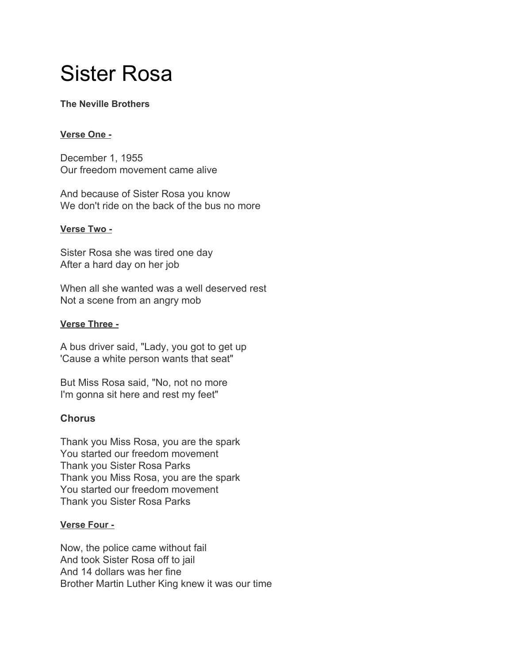# Sister Rosa

### **The Neville Brothers**

### **Verse One -**

December 1, 1955 Our freedom movement came alive

And because of Sister Rosa you know We don't ride on the back of the bus no more

#### **Verse Two -**

Sister Rosa she was tired one day After a hard day on her job

When all she wanted was a well deserved rest Not a scene from an angry mob

### **Verse Three -**

A bus driver said, "Lady, you got to get up 'Cause a white person wants that seat"

But Miss Rosa said, "No, not no more I'm gonna sit here and rest my feet"

# **Chorus**

Thank you Miss Rosa, you are the spark You started our freedom movement Thank you Sister Rosa Parks Thank you Miss Rosa, you are the spark You started our freedom movement Thank you Sister Rosa Parks

# **Verse Four -**

Now, the police came without fail And took Sister Rosa off to jail And 14 dollars was her fine Brother Martin Luther King knew it was our time